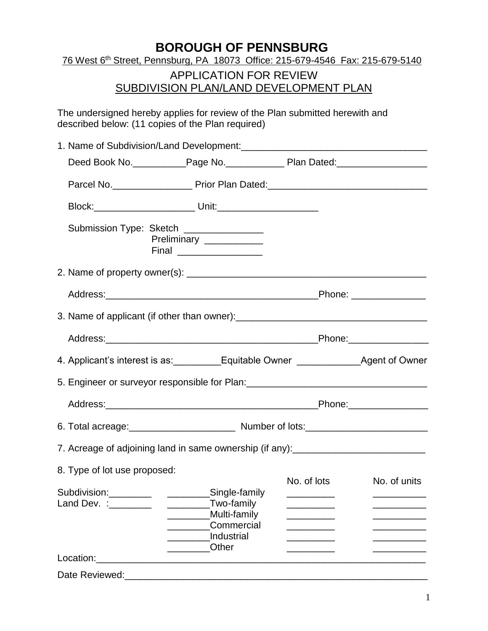## **BOROUGH OF PENNSBURG**

76 West 6 th Street, Pennsburg, PA 18073 Office: 215-679-4546 Fax: 215-679-5140

## APPLICATION FOR REVIEW SUBDIVISION PLAN/LAND DEVELOPMENT PLAN

The undersigned hereby applies for review of the Plan submitted herewith and described below: (11 copies of the Plan required)

|                              | Deed Book No. _____________Page No. _____________________Plan Dated: _______________________________ |             |              |
|------------------------------|------------------------------------------------------------------------------------------------------|-------------|--------------|
|                              |                                                                                                      |             |              |
|                              |                                                                                                      |             |              |
|                              | Submission Type: Sketch _______________<br>Preliminary ___________<br>Final __________________       |             |              |
|                              |                                                                                                      |             |              |
|                              |                                                                                                      |             |              |
|                              |                                                                                                      |             |              |
|                              |                                                                                                      |             |              |
|                              | 4. Applicant's interest is as: __________Equitable Owner _________________Agent of Owner             |             |              |
|                              | 5. Engineer or surveyor responsible for Plan: __________________________________                     |             |              |
|                              |                                                                                                      |             |              |
|                              |                                                                                                      |             |              |
|                              | 7. Acreage of adjoining land in same ownership (if any): _______________________                     |             |              |
| 8. Type of lot use proposed: |                                                                                                      | No. of lots | No. of units |
| Land Dev. : ________         | Two-family<br>Multi-family<br>Commercial<br>Industrial<br>Other                                      |             |              |
| Location:                    |                                                                                                      |             |              |
| Date Reviewed:               |                                                                                                      |             |              |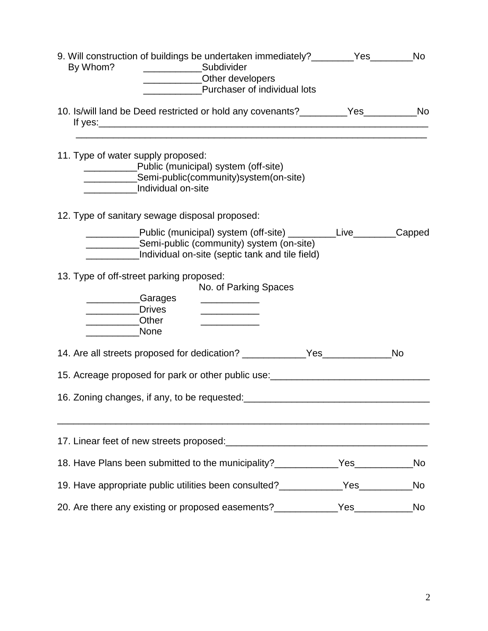| By Whom?                                                                                   | 9. Will construction of buildings be undertaken immediately?________Yes________No<br>________________Subdivider<br>____________Other developers<br><b>Purchaser of individual lots</b> |           |
|--------------------------------------------------------------------------------------------|----------------------------------------------------------------------------------------------------------------------------------------------------------------------------------------|-----------|
| 10. Is/will land be Deed restricted or hold any covenants?_________Yes__________No         |                                                                                                                                                                                        |           |
| 11. Type of water supply proposed:                                                         | _______________Semi-public(community)system(on-site)<br>_____________Individual on-site                                                                                                |           |
|                                                                                            | 12. Type of sanitary sewage disposal proposed:                                                                                                                                         |           |
|                                                                                            | _____________Semi-public (community) system (on-site)<br>Individual on-site (septic tank and tile field)                                                                               |           |
| 13. Type of off-street parking proposed:<br>___________Garages<br>Drives<br>_________Other | No. of Parking Spaces<br><u> 1980 - Johann Barn, mars ann an t-</u><br><u> 1980 - Johann Barbara, martxa a</u><br>None                                                                 |           |
|                                                                                            | 14. Are all streets proposed for dedication? ________________Yes________________                                                                                                       | <b>No</b> |
|                                                                                            | 15. Acreage proposed for park or other public use: _____________________________                                                                                                       |           |
|                                                                                            | 16. Zoning changes, if any, to be requested: ___________________________________                                                                                                       |           |
|                                                                                            | 17. Linear feet of new streets proposed:<br>17. Linear feet of new streets proposed:                                                                                                   |           |
|                                                                                            | 18. Have Plans been submitted to the municipality?_______________Yes____________                                                                                                       | No        |
|                                                                                            | 19. Have appropriate public utilities been consulted?_____________Yes___________                                                                                                       | No        |
|                                                                                            | 20. Are there any existing or proposed easements?______________Yes______________                                                                                                       | No        |